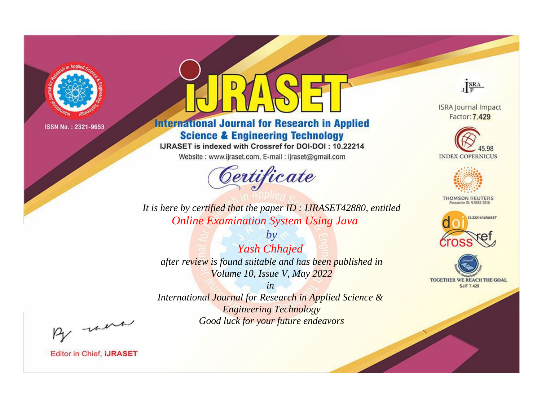

# **International Journal for Research in Applied Science & Engineering Technology**

IJRASET is indexed with Crossref for DOI-DOI: 10.22214

Website: www.ijraset.com, E-mail: ijraset@gmail.com



JERA **ISRA Journal Impact** 

Factor: 7.429

**INDEX COPERNICUS** 



**THOMSON REUTERS** 



TOGETHER WE REACH THE GOAL **SJIF 7.429** 

*It is here by certified that the paper ID : IJRASET42880, entitled Online Examination System Using Java*

*by Yash Chhajed after review is found suitable and has been published in Volume 10, Issue V, May 2022*

*in International Journal for Research in Applied Science &* 

*Engineering Technology Good luck for your future endeavors*

By morn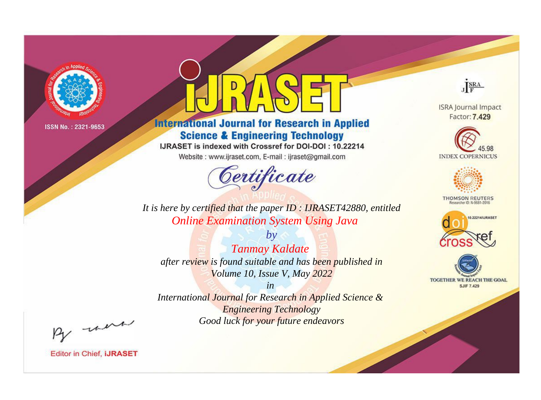

# **International Journal for Research in Applied Science & Engineering Technology**

IJRASET is indexed with Crossref for DOI-DOI: 10.22214

Website: www.ijraset.com, E-mail: ijraset@gmail.com



JERA

**ISRA Journal Impact** Factor: 7.429





**THOMSON REUTERS** 



TOGETHER WE REACH THE GOAL **SJIF 7.429** 

*It is here by certified that the paper ID : IJRASET42880, entitled Online Examination System Using Java*

*by Tanmay Kaldate after review is found suitable and has been published in Volume 10, Issue V, May 2022*

*in* 

*International Journal for Research in Applied Science & Engineering Technology Good luck for your future endeavors*

By morn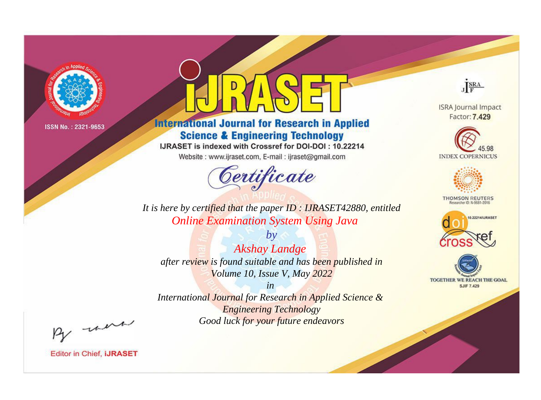

# **International Journal for Research in Applied Science & Engineering Technology**

IJRASET is indexed with Crossref for DOI-DOI: 10.22214

Website: www.ijraset.com, E-mail: ijraset@gmail.com



JERA

**ISRA Journal Impact** Factor: 7.429





**THOMSON REUTERS** 



TOGETHER WE REACH THE GOAL **SJIF 7.429** 

*It is here by certified that the paper ID : IJRASET42880, entitled Online Examination System Using Java*

*by Akshay Landge after review is found suitable and has been published in Volume 10, Issue V, May 2022*

*in* 

*International Journal for Research in Applied Science & Engineering Technology Good luck for your future endeavors*

By morn